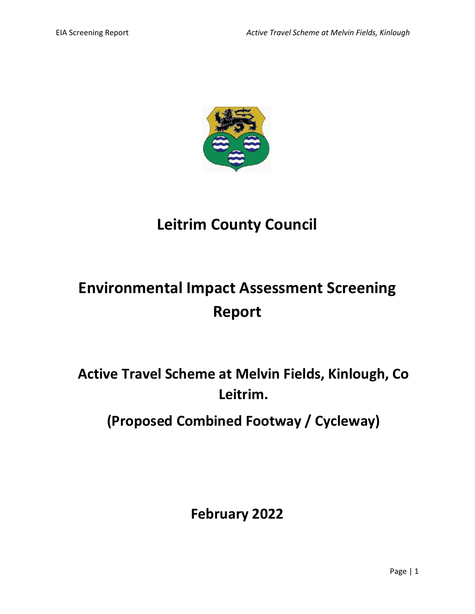

# **Leitrim County Council**

# **Environmental Impact Assessment Screening Report**

**Active Travel Scheme at Melvin Fields, Kinlough, Co Leitrim.**

**(Proposed Combined Footway / Cycleway)**

**February 2022**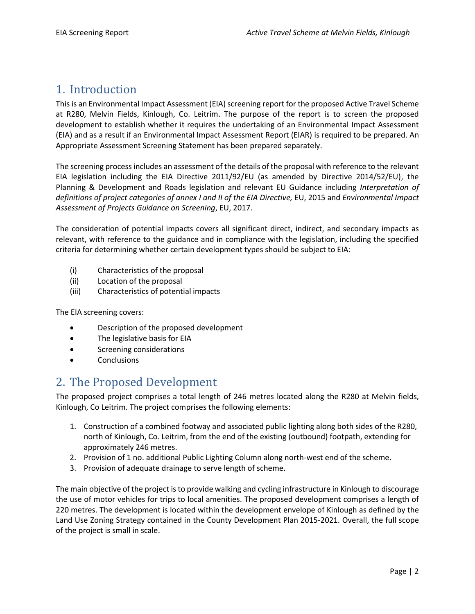## 1. Introduction

This is an Environmental Impact Assessment (EIA) screening report for the proposed Active Travel Scheme at R280, Melvin Fields, Kinlough, Co. Leitrim. The purpose of the report is to screen the proposed development to establish whether it requires the undertaking of an Environmental Impact Assessment (EIA) and as a result if an Environmental Impact Assessment Report (EIAR) is required to be prepared. An Appropriate Assessment Screening Statement has been prepared separately.

The screening process includes an assessment of the details of the proposal with reference to the relevant EIA legislation including the EIA Directive 2011/92/EU (as amended by Directive 2014/52/EU), the Planning & Development and Roads legislation and relevant EU Guidance including *Interpretation of definitions of project categories of annex I and II of the EIA Directive,* EU, 2015 and *Environmental Impact Assessment of Projects Guidance on Screening*, EU, 2017.

The consideration of potential impacts covers all significant direct, indirect, and secondary impacts as relevant, with reference to the guidance and in compliance with the legislation, including the specified criteria for determining whether certain development types should be subject to EIA:

- (i) Characteristics of the proposal
- (ii) Location of the proposal
- (iii) Characteristics of potential impacts

The EIA screening covers:

- Description of the proposed development
- The legislative basis for EIA
- Screening considerations
- **Conclusions**

#### 2. The Proposed Development

The proposed project comprises a total length of 246 metres located along the R280 at Melvin fields, Kinlough, Co Leitrim. The project comprises the following elements:

- 1. Construction of a combined footway and associated public lighting along both sides of the R280, north of Kinlough, Co. Leitrim, from the end of the existing (outbound) footpath, extending for approximately 246 metres.
- 2. Provision of 1 no. additional Public Lighting Column along north-west end of the scheme.
- 3. Provision of adequate drainage to serve length of scheme.

The main objective of the project is to provide walking and cycling infrastructure in Kinlough to discourage the use of motor vehicles for trips to local amenities. The proposed development comprises a length of 220 metres. The development is located within the development envelope of Kinlough as defined by the Land Use Zoning Strategy contained in the County Development Plan 2015-2021. Overall, the full scope of the project is small in scale.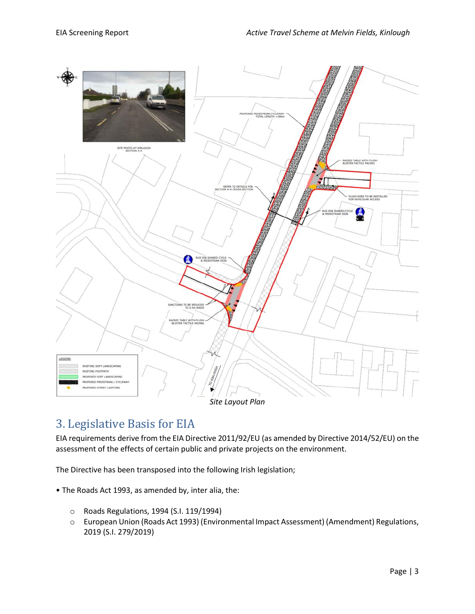

## 3. Legislative Basis for EIA

EIA requirements derive from the EIA Directive 2011/92/EU (as amended by Directive 2014/52/EU) on the assessment of the effects of certain public and private projects on the environment.

The Directive has been transposed into the following Irish legislation;

- The Roads Act 1993, as amended by, inter alia, the:
	- o Roads Regulations, 1994 (S.I. 119/1994)
	- o European Union (Roads Act 1993) (Environmental Impact Assessment) (Amendment) Regulations, 2019 (S.I. 279/2019)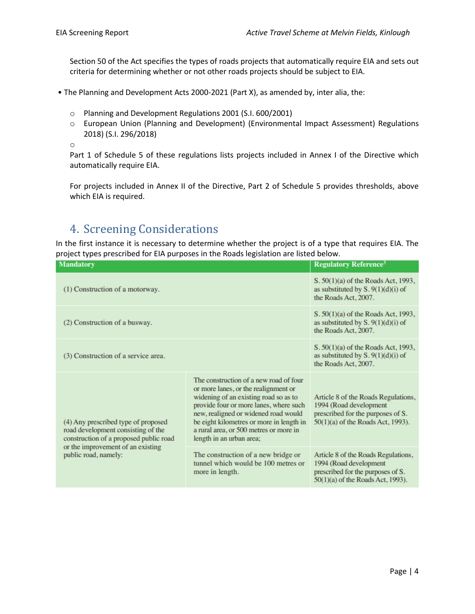Section 50 of the Act specifies the types of roads projects that automatically require EIA and sets out criteria for determining whether or not other roads projects should be subject to EIA.

- The Planning and Development Acts 2000-2021 (Part X), as amended by, inter alia, the:
	- o Planning and Development Regulations 2001 (S.I. 600/2001)
	- o European Union (Planning and Development) (Environmental Impact Assessment) Regulations 2018) (S.I. 296/2018)

o

Part 1 of Schedule 5 of these regulations lists projects included in Annex I of the Directive which automatically require EIA.

For projects included in Annex II of the Directive, Part 2 of Schedule 5 provides thresholds, above which EIA is required.

## 4. Screening Considerations

In the first instance it is necessary to determine whether the project is of a type that requires EIA. The project types prescribed for EIA purposes in the Roads legislation are listed below.

| Mandatory                                                                                                                                                                        |                                                                                                                                                                                                                                                                                                                             | <b>Regulatory Reference<sup>3</sup></b>                                                                                                 |
|----------------------------------------------------------------------------------------------------------------------------------------------------------------------------------|-----------------------------------------------------------------------------------------------------------------------------------------------------------------------------------------------------------------------------------------------------------------------------------------------------------------------------|-----------------------------------------------------------------------------------------------------------------------------------------|
| (1) Construction of a motorway.                                                                                                                                                  |                                                                                                                                                                                                                                                                                                                             | S. 50(1)(a) of the Roads Act, 1993,<br>as substituted by $S. 9(1)(d)(i)$ of<br>the Roads Act, 2007.                                     |
| (2) Construction of a busway.                                                                                                                                                    |                                                                                                                                                                                                                                                                                                                             | S. 50(1)(a) of the Roads Act, 1993,<br>as substituted by $S. 9(1)(d)(i)$ of<br>the Roads Act, 2007.                                     |
| (3) Construction of a service area.                                                                                                                                              |                                                                                                                                                                                                                                                                                                                             | S. 50(1)(a) of the Roads Act, 1993,<br>as substituted by $S. 9(1)(d)(i)$ of<br>the Roads Act, 2007.                                     |
| (4) Any prescribed type of proposed<br>road development consisting of the<br>construction of a proposed public road<br>or the improvement of an existing<br>public road, namely: | The construction of a new road of four<br>or more lanes, or the realignment or<br>widening of an existing road so as to<br>provide four or more lanes, where such<br>new, realigned or widened road would<br>be eight kilometres or more in length in<br>a rural area, or 500 metres or more in<br>length in an urban area; | Article 8 of the Roads Regulations,<br>1994 (Road development<br>prescribed for the purposes of S.<br>50(1)(a) of the Roads Act, 1993). |
|                                                                                                                                                                                  | The construction of a new bridge or<br>tunnel which would be 100 metres or<br>more in length.                                                                                                                                                                                                                               | Article 8 of the Roads Regulations,<br>1994 (Road development<br>prescribed for the purposes of S.<br>50(1)(a) of the Roads Act, 1993). |
|                                                                                                                                                                                  |                                                                                                                                                                                                                                                                                                                             |                                                                                                                                         |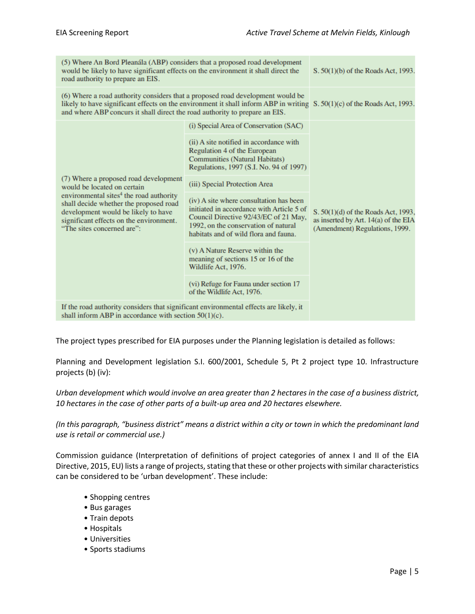| (5) Where An Bord Pleanála (ABP) considers that a proposed road development<br>would be likely to have significant effects on the environment it shall direct the<br>road authority to prepare an EIS.                                                                                      | S. 50(1)(b) of the Roads Act, 1993.                                                                                                                                                                            |                                                                                                               |  |
|---------------------------------------------------------------------------------------------------------------------------------------------------------------------------------------------------------------------------------------------------------------------------------------------|----------------------------------------------------------------------------------------------------------------------------------------------------------------------------------------------------------------|---------------------------------------------------------------------------------------------------------------|--|
| (6) Where a road authority considers that a proposed road development would be<br>likely to have significant effects on the environment it shall inform ABP in writing $S. 50(1)(c)$ of the Roads Act, 1993.<br>and where ABP concurs it shall direct the road authority to prepare an EIS. |                                                                                                                                                                                                                |                                                                                                               |  |
|                                                                                                                                                                                                                                                                                             | (i) Special Area of Conservation (SAC)                                                                                                                                                                         |                                                                                                               |  |
| (7) Where a proposed road development<br>would be located on certain<br>environmental sites <sup>4</sup> the road authority<br>shall decide whether the proposed road<br>development would be likely to have<br>significant effects on the environment.<br>"The sites concerned are":       | (ii) A site notified in accordance with<br>Regulation 4 of the European<br><b>Communities (Natural Habitats)</b><br>Regulations, 1997 (S.I. No. 94 of 1997)                                                    |                                                                                                               |  |
|                                                                                                                                                                                                                                                                                             | (iii) Special Protection Area                                                                                                                                                                                  |                                                                                                               |  |
|                                                                                                                                                                                                                                                                                             | (iv) A site where consultation has been<br>initiated in accordance with Article 5 of<br>Council Directive 92/43/EC of 21 May,<br>1992, on the conservation of natural<br>habitats and of wild flora and fauna. | S. 50(1)(d) of the Roads Act, 1993,<br>as inserted by Art. 14(a) of the EIA<br>(Amendment) Regulations, 1999. |  |
|                                                                                                                                                                                                                                                                                             | (v) A Nature Reserve within the<br>meaning of sections 15 or 16 of the<br>Wildlife Act, 1976.                                                                                                                  |                                                                                                               |  |
|                                                                                                                                                                                                                                                                                             | (vi) Refuge for Fauna under section 17<br>of the Wildlife Act, 1976.                                                                                                                                           |                                                                                                               |  |
| If the road authority considers that significant environmental effects are likely, it<br>shall inform ABP in accordance with section $50(1)(c)$ .                                                                                                                                           |                                                                                                                                                                                                                |                                                                                                               |  |

The project types prescribed for EIA purposes under the Planning legislation is detailed as follows:

Planning and Development legislation S.I. 600/2001, Schedule 5, Pt 2 project type 10. Infrastructure projects (b) (iv):

*Urban development which would involve an area greater than 2 hectares in the case of a business district, 10 hectares in the case of other parts of a built-up area and 20 hectares elsewhere.* 

*(In this paragraph, "business district" means a district within a city or town in which the predominant land use is retail or commercial use.)*

Commission guidance (Interpretation of definitions of project categories of annex I and II of the EIA Directive, 2015, EU) lists a range of projects, stating that these or other projects with similar characteristics can be considered to be 'urban development'. These include:

- Shopping centres
- Bus garages
- Train depots
- Hospitals
- Universities
- Sports stadiums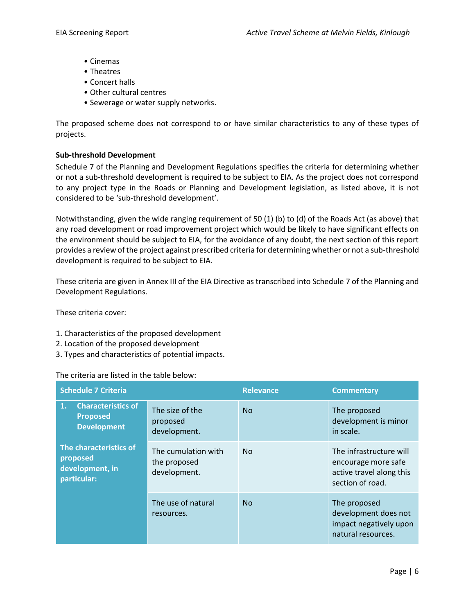- Cinemas
- Theatres
- Concert halls
- Other cultural centres
- Sewerage or water supply networks.

The proposed scheme does not correspond to or have similar characteristics to any of these types of projects.

#### **Sub-threshold Development**

Schedule 7 of the Planning and Development Regulations specifies the criteria for determining whether or not a sub-threshold development is required to be subject to EIA. As the project does not correspond to any project type in the Roads or Planning and Development legislation, as listed above, it is not considered to be 'sub-threshold development'.

Notwithstanding, given the wide ranging requirement of 50 (1) (b) to (d) of the Roads Act (as above) that any road development or road improvement project which would be likely to have significant effects on the environment should be subject to EIA, for the avoidance of any doubt, the next section of this report provides a review of the project against prescribed criteria for determining whether or not a sub-threshold development is required to be subject to EIA.

These criteria are given in Annex III of the EIA Directive as transcribed into Schedule 7 of the Planning and Development Regulations.

These criteria cover:

- 1. Characteristics of the proposed development
- 2. Location of the proposed development
- 3. Types and characteristics of potential impacts.

#### The criteria are listed in the table below:

| <b>Schedule 7 Criteria</b>                                                           |                                                     | <b>Relevance</b> | <b>Commentary</b>                                                                              |
|--------------------------------------------------------------------------------------|-----------------------------------------------------|------------------|------------------------------------------------------------------------------------------------|
| <b>Characteristics of</b><br>$\mathbf{1}$ .<br><b>Proposed</b><br><b>Development</b> | The size of the<br>proposed<br>development.         | N <sub>0</sub>   | The proposed<br>development is minor<br>in scale.                                              |
| The characteristics of<br>proposed<br>development, in<br>particular:                 | The cumulation with<br>the proposed<br>development. | N <sub>0</sub>   | The infrastructure will<br>encourage more safe<br>active travel along this<br>section of road. |
|                                                                                      | The use of natural<br>resources.                    | <b>No</b>        | The proposed<br>development does not<br>impact negatively upon<br>natural resources.           |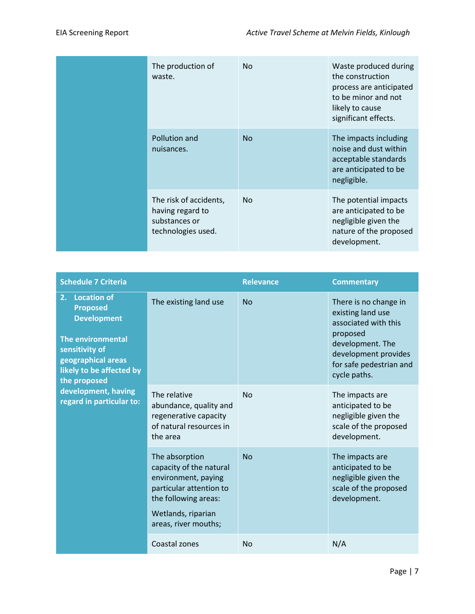| The production of<br>waste.                                                       | <b>No</b> | Waste produced during<br>the construction<br>process are anticipated<br>to be minor and not<br>likely to cause<br>significant effects. |
|-----------------------------------------------------------------------------------|-----------|----------------------------------------------------------------------------------------------------------------------------------------|
| Pollution and<br>nuisances.                                                       | <b>No</b> | The impacts including<br>noise and dust within<br>acceptable standards<br>are anticipated to be<br>negligible.                         |
| The risk of accidents,<br>having regard to<br>substances or<br>technologies used. | <b>No</b> | The potential impacts<br>are anticipated to be<br>negligible given the<br>nature of the proposed<br>development.                       |

| <b>Schedule 7 Criteria</b>                                                                                                                                                        |                                                                                                                                                                   | <b>Relevance</b> | <b>Commentary</b>                                                                                                                                                     |
|-----------------------------------------------------------------------------------------------------------------------------------------------------------------------------------|-------------------------------------------------------------------------------------------------------------------------------------------------------------------|------------------|-----------------------------------------------------------------------------------------------------------------------------------------------------------------------|
| 2.<br><b>Location of</b><br><b>Proposed</b><br><b>Development</b><br><b>The environmental</b><br>sensitivity of<br>geographical areas<br>likely to be affected by<br>the proposed | The existing land use                                                                                                                                             | <b>No</b>        | There is no change in<br>existing land use<br>associated with this<br>proposed<br>development. The<br>development provides<br>for safe pedestrian and<br>cycle paths. |
| development, having<br>regard in particular to:                                                                                                                                   | The relative<br>abundance, quality and<br>regenerative capacity<br>of natural resources in<br>the area                                                            | <b>No</b>        | The impacts are<br>anticipated to be<br>negligible given the<br>scale of the proposed<br>development.                                                                 |
|                                                                                                                                                                                   | The absorption<br>capacity of the natural<br>environment, paying<br>particular attention to<br>the following areas:<br>Wetlands, riparian<br>areas, river mouths; | No               | The impacts are<br>anticipated to be<br>negligible given the<br>scale of the proposed<br>development.                                                                 |
|                                                                                                                                                                                   | Coastal zones                                                                                                                                                     | <b>No</b>        | N/A                                                                                                                                                                   |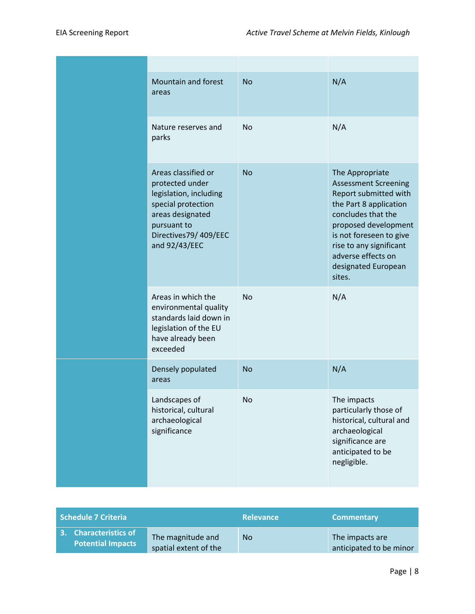| Mountain and forest<br>areas                                                                                                                                       | <b>No</b> | N/A                                                                                                                                                                                                                                                          |
|--------------------------------------------------------------------------------------------------------------------------------------------------------------------|-----------|--------------------------------------------------------------------------------------------------------------------------------------------------------------------------------------------------------------------------------------------------------------|
| Nature reserves and<br>parks                                                                                                                                       | <b>No</b> | N/A                                                                                                                                                                                                                                                          |
| Areas classified or<br>protected under<br>legislation, including<br>special protection<br>areas designated<br>pursuant to<br>Directives79/409/EEC<br>and 92/43/EEC | <b>No</b> | The Appropriate<br><b>Assessment Screening</b><br>Report submitted with<br>the Part 8 application<br>concludes that the<br>proposed development<br>is not foreseen to give<br>rise to any significant<br>adverse effects on<br>designated European<br>sites. |
| Areas in which the<br>environmental quality<br>standards laid down in<br>legislation of the EU<br>have already been<br>exceeded                                    | Nο        | N/A                                                                                                                                                                                                                                                          |
| Densely populated<br>areas                                                                                                                                         | <b>No</b> | N/A                                                                                                                                                                                                                                                          |
| Landscapes of<br>historical, cultural<br>archaeological<br>significance                                                                                            | No        | The impacts<br>particularly those of<br>historical, cultural and<br>archaeological<br>significance are<br>anticipated to be<br>negligible.                                                                                                                   |

| Schedule 7 Criteria                               |                                            | <b>Relevance</b> | <b>Commentary</b>                          |
|---------------------------------------------------|--------------------------------------------|------------------|--------------------------------------------|
| 3. Characteristics of<br><b>Potential Impacts</b> | The magnitude and<br>spatial extent of the | No.              | The impacts are<br>anticipated to be minor |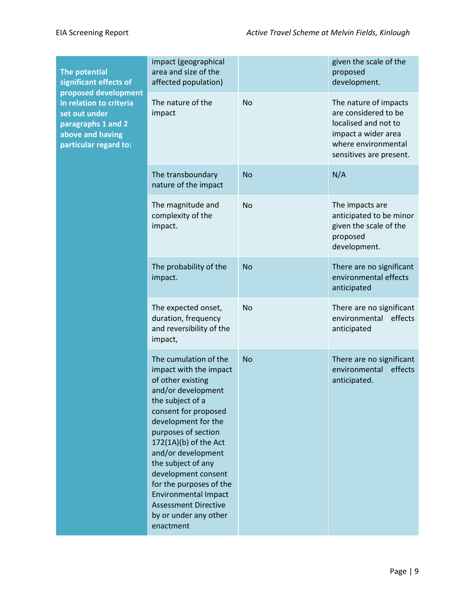| The potential<br>significant effects of                                                                                             | impact (geographical<br>area and size of the<br>affected population)                                                                                                                                                                                                                                                                                                                                            |           | given the scale of the<br>proposed<br>development.                                                                                             |
|-------------------------------------------------------------------------------------------------------------------------------------|-----------------------------------------------------------------------------------------------------------------------------------------------------------------------------------------------------------------------------------------------------------------------------------------------------------------------------------------------------------------------------------------------------------------|-----------|------------------------------------------------------------------------------------------------------------------------------------------------|
| proposed development<br>in relation to criteria<br>set out under<br>paragraphs 1 and 2<br>above and having<br>particular regard to: | The nature of the<br>impact                                                                                                                                                                                                                                                                                                                                                                                     | <b>No</b> | The nature of impacts<br>are considered to be<br>localised and not to<br>impact a wider area<br>where environmental<br>sensitives are present. |
|                                                                                                                                     | The transboundary<br>nature of the impact                                                                                                                                                                                                                                                                                                                                                                       | <b>No</b> | N/A                                                                                                                                            |
|                                                                                                                                     | The magnitude and<br>complexity of the<br>impact.                                                                                                                                                                                                                                                                                                                                                               | <b>No</b> | The impacts are<br>anticipated to be minor<br>given the scale of the<br>proposed<br>development.                                               |
|                                                                                                                                     | The probability of the<br>impact.                                                                                                                                                                                                                                                                                                                                                                               | <b>No</b> | There are no significant<br>environmental effects<br>anticipated                                                                               |
|                                                                                                                                     | The expected onset,<br>duration, frequency<br>and reversibility of the<br>impact,                                                                                                                                                                                                                                                                                                                               | <b>No</b> | There are no significant<br>environmental effects<br>anticipated                                                                               |
|                                                                                                                                     | The cumulation of the<br>impact with the impact<br>of other existing<br>and/or development<br>the subject of a<br>consent for proposed<br>development for the<br>purposes of section<br>172(1A)(b) of the Act<br>and/or development<br>the subject of any<br>development consent<br>for the purposes of the<br><b>Environmental Impact</b><br><b>Assessment Directive</b><br>by or under any other<br>enactment | <b>No</b> | There are no significant<br>environmental effects<br>anticipated.                                                                              |